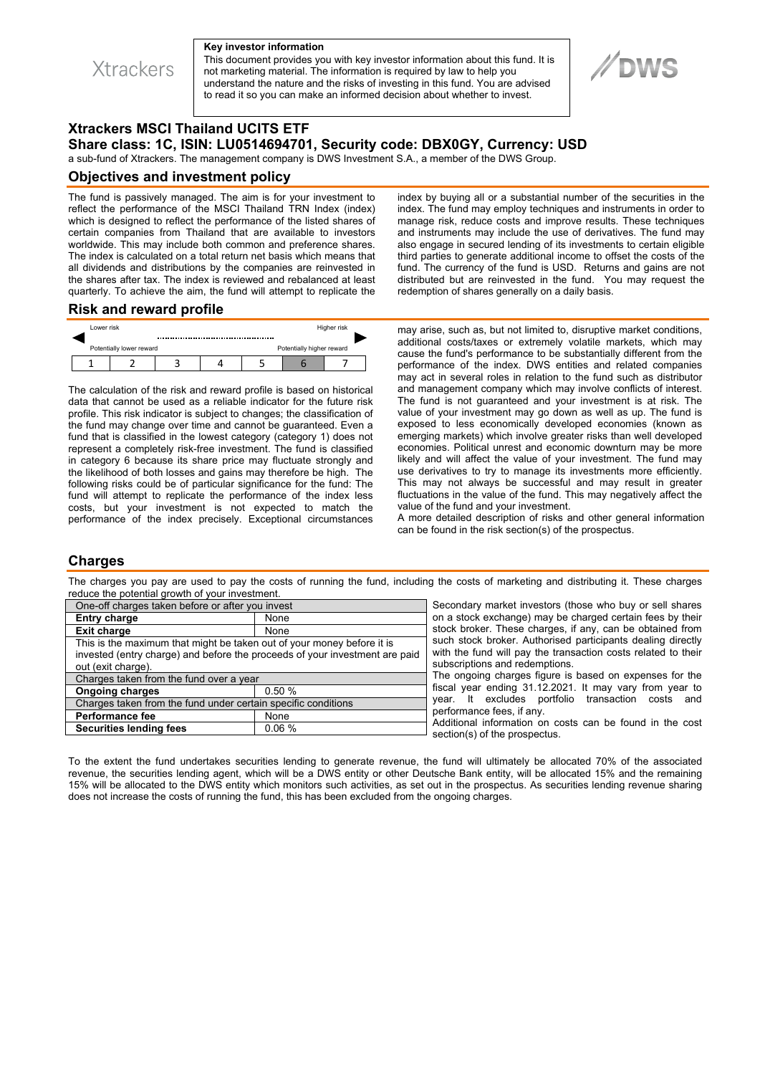

#### **Key investor information**

This document provides you with key investor information about this fund. It is not marketing material. The information is required by law to help you understand the nature and the risks of investing in this fund. You are advised to read it so you can make an informed decision about whether to invest.



# **Xtrackers MSCI Thailand UCITS ETF Share class: 1C, ISIN: LU0514694701, Security code: DBX0GY, Currency: USD**

a sub-fund of Xtrackers. The management company is DWS Investment S.A., a member of the DWS Group.

#### **Objectives and investment policy**

The fund is passively managed. The aim is for your investment to reflect the performance of the MSCI Thailand TRN Index (index) which is designed to reflect the performance of the listed shares of certain companies from Thailand that are available to investors worldwide. This may include both common and preference shares. The index is calculated on a total return net basis which means that all dividends and distributions by the companies are reinvested in the shares after tax. The index is reviewed and rebalanced at least quarterly. To achieve the aim, the fund will attempt to replicate the index by buying all or a substantial number of the securities in the index. The fund may employ techniques and instruments in order to manage risk, reduce costs and improve results. These techniques and instruments may include the use of derivatives. The fund may also engage in secured lending of its investments to certain eligible third parties to generate additional income to offset the costs of the fund. The currency of the fund is USD. Returns and gains are not distributed but are reinvested in the fund. You may request the redemption of shares generally on a daily basis.

### **Risk and reward profile**



The calculation of the risk and reward profile is based on historical data that cannot be used as a reliable indicator for the future risk profile. This risk indicator is subject to changes; the classification of the fund may change over time and cannot be guaranteed. Even a fund that is classified in the lowest category (category 1) does not represent a completely risk-free investment. The fund is classified in category 6 because its share price may fluctuate strongly and the likelihood of both losses and gains may therefore be high. The following risks could be of particular significance for the fund: The fund will attempt to replicate the performance of the index less costs, but your investment is not expected to match the performance of the index precisely. Exceptional circumstances

may arise, such as, but not limited to, disruptive market conditions, additional costs/taxes or extremely volatile markets, which may cause the fund's performance to be substantially different from the performance of the index. DWS entities and related companies may act in several roles in relation to the fund such as distributor and management company which may involve conflicts of interest. The fund is not guaranteed and your investment is at risk. The value of your investment may go down as well as up. The fund is exposed to less economically developed economies (known as emerging markets) which involve greater risks than well developed economies. Political unrest and economic downturn may be more likely and will affect the value of your investment. The fund may use derivatives to try to manage its investments more efficiently. This may not always be successful and may result in greater fluctuations in the value of the fund. This may negatively affect the value of the fund and your investment.

A more detailed description of risks and other general information can be found in the risk section(s) of the prospectus.

### **Charges**

The charges you pay are used to pay the costs of running the fund, including the costs of marketing and distributing it. These charges reduce the potential growth of your investment.

| One-off charges taken before or after you invest                            |          | Secondary market investors (those who buy or sell shares                                                               |
|-----------------------------------------------------------------------------|----------|------------------------------------------------------------------------------------------------------------------------|
| <b>Entry charge</b>                                                         | None     | on a stock exchange) may be charged certain fees by their                                                              |
| <b>Exit charge</b>                                                          | None     | stock broker. These charges, if any, can be obtained from                                                              |
| This is the maximum that might be taken out of your money before it is      |          | such stock broker. Authorised participants dealing directly                                                            |
| invested (entry charge) and before the proceeds of your investment are paid |          | with the fund will pay the transaction costs related to their                                                          |
| out (exit charge).                                                          |          | subscriptions and redemptions.<br>The ongoing charges figure is based on expenses for the                              |
| Charges taken from the fund over a year                                     |          |                                                                                                                        |
| <b>Ongoing charges</b>                                                      | 0.50%    | fiscal year ending 31.12.2021. It may vary from year to                                                                |
| Charges taken from the fund under certain specific conditions               |          | year. It excludes portfolio transaction costs and                                                                      |
| <b>Performance fee</b>                                                      | None     | performance fees, if any.<br>Additional information on costs can be found in the cost<br>section(s) of the prospectus. |
| <b>Securities lending fees</b>                                              | $0.06\%$ |                                                                                                                        |
|                                                                             |          |                                                                                                                        |

To the extent the fund undertakes securities lending to generate revenue, the fund will ultimately be allocated 70% of the associated revenue, the securities lending agent, which will be a DWS entity or other Deutsche Bank entity, will be allocated 15% and the remaining 15% will be allocated to the DWS entity which monitors such activities, as set out in the prospectus. As securities lending revenue sharing does not increase the costs of running the fund, this has been excluded from the ongoing charges.